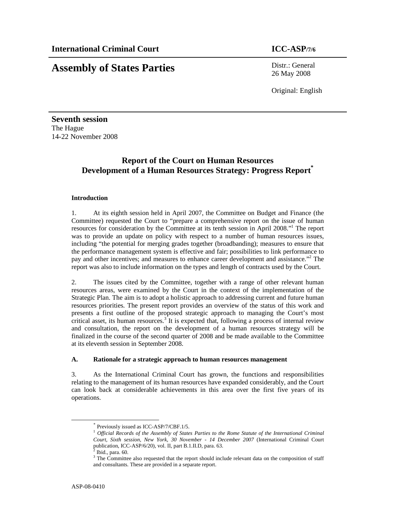# **Assembly of States Parties** Distr.: General

26 May 2008

Original: English

**Seventh session**  The Hague 14-22 November 2008

# **Report of the Court on Human Resources Development of a Human Resources Strategy: Progress Report\***

# **Introduction**

1. At its eighth session held in April 2007, the Committee on Budget and Finance (the Committee) requested the Court to "prepare a comprehensive report on the issue of human resources for consideration by the Committee at its tenth session in April 2008."<sup>1</sup> The report was to provide an update on policy with respect to a number of human resources issues, including "the potential for merging grades together (broadbanding); measures to ensure that the performance management system is effective and fair; possibilities to link performance to pay and other incentives; and measures to enhance career development and assistance."<sup>2</sup> The report was also to include information on the types and length of contracts used by the Court.

2. The issues cited by the Committee, together with a range of other relevant human resources areas, were examined by the Court in the context of the implementation of the Strategic Plan. The aim is to adopt a holistic approach to addressing current and future human resources priorities. The present report provides an overview of the status of this work and presents a first outline of the proposed strategic approach to managing the Court's most critical asset, its human resources.<sup>3</sup> It is expected that, following a process of internal review and consultation, the report on the development of a human resources strategy will be finalized in the course of the second quarter of 2008 and be made available to the Committee at its eleventh session in September 2008.

# **A. Rationale for a strategic approach to human resources management**

3. As the International Criminal Court has grown, the functions and responsibilities relating to the management of its human resources have expanded considerably, and the Court can look back at considerable achievements in this area over the first five years of its operations.

-

<sup>\*</sup> Previously issued as ICC-ASP/7/CBF.1/5.

<sup>1</sup> *Official Records of the Assembly of States Parties to the Rome Statute of the International Criminal Court, Sixth session, New York, 30 November - 14 December 2007* (International Criminal Court publication, ICC-ASP/6/20), vol. II, part B.1.II.D, para. 63.

Ibid., para. 60.

<sup>&</sup>lt;sup>3</sup> The Committee also requested that the report should include relevant data on the composition of staff and consultants. These are provided in a separate report.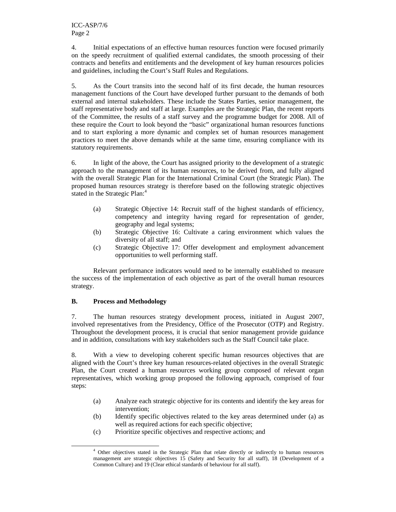4. Initial expectations of an effective human resources function were focused primarily on the speedy recruitment of qualified external candidates, the smooth processing of their contracts and benefits and entitlements and the development of key human resources policies and guidelines, including the Court's Staff Rules and Regulations.

5. As the Court transits into the second half of its first decade, the human resources management functions of the Court have developed further pursuant to the demands of both external and internal stakeholders. These include the States Parties, senior management, the staff representative body and staff at large. Examples are the Strategic Plan, the recent reports of the Committee, the results of a staff survey and the programme budget for 2008. All of these require the Court to look beyond the "basic" organizational human resources functions and to start exploring a more dynamic and complex set of human resources management practices to meet the above demands while at the same time, ensuring compliance with its statutory requirements.

6. In light of the above, the Court has assigned priority to the development of a strategic approach to the management of its human resources, to be derived from, and fully aligned with the overall Strategic Plan for the International Criminal Court (the Strategic Plan). The proposed human resources strategy is therefore based on the following strategic objectives stated in the Strategic Plan:<sup>4</sup>

- (a) Strategic Objective 14: Recruit staff of the highest standards of efficiency, competency and integrity having regard for representation of gender, geography and legal systems;
- (b) Strategic Objective 16: Cultivate a caring environment which values the diversity of all staff; and
- (c) Strategic Objective 17: Offer development and employment advancement opportunities to well performing staff.

Relevant performance indicators would need to be internally established to measure the success of the implementation of each objective as part of the overall human resources strategy.

# **B. Process and Methodology**

-

7. The human resources strategy development process, initiated in August 2007, involved representatives from the Presidency, Office of the Prosecutor (OTP) and Registry. Throughout the development process, it is crucial that senior management provide guidance and in addition, consultations with key stakeholders such as the Staff Council take place.

8. With a view to developing coherent specific human resources objectives that are aligned with the Court's three key human resources-related objectives in the overall Strategic Plan, the Court created a human resources working group composed of relevant organ representatives, which working group proposed the following approach, comprised of four steps:

- (a) Analyze each strategic objective for its contents and identify the key areas for intervention;
- (b) Identify specific objectives related to the key areas determined under (a) as well as required actions for each specific objective;
- (c) Prioritize specific objectives and respective actions; and

<sup>4</sup> Other objectives stated in the Strategic Plan that relate directly or indirectly to human resources management are strategic objectives 15 (Safety and Security for all staff), 18 (Development of a Common Culture) and 19 (Clear ethical standards of behaviour for all staff).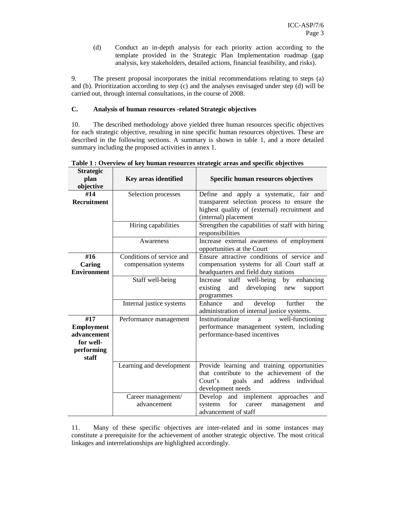(d) Conduct an in-depth analysis for each priority action according to the template provided in the Strategic Plan Implementation roadmap (gap analysis, key stakeholders, detailed actions, financial feasibility, and risks).

9. The present proposal incorporates the initial recommendations relating to steps (a) and (b). Prioritization according to step (c) and the analyses envisaged under step (d) will be carried out, through internal consultations, in the course of 2008.

# **C. Analysis of human resources -related Strategic objectives**

10. The described methodology above yielded three human resources specific objectives for each strategic objective, resulting in nine specific human resources objectives. These are described in the following sections. A summary is shown in table 1, and a more detailed summary including the proposed activities in annex 1.

| <b>Strategic</b><br>plan<br>objective                                       | Key areas identified                              | Specific human resources objectives                                                                                                                               |
|-----------------------------------------------------------------------------|---------------------------------------------------|-------------------------------------------------------------------------------------------------------------------------------------------------------------------|
| #14<br><b>Recruitment</b>                                                   | Selection processes                               | Define and apply a systematic, fair and<br>transparent selection process to ensure the<br>highest quality of (external) recruitment and<br>(internal) placement   |
|                                                                             | Hiring capabilities                               | Strengthen the capabilities of staff with hiring<br>responsibilities                                                                                              |
|                                                                             | Awareness                                         | Increase external awareness of employment<br>opportunities at the Court                                                                                           |
| #16<br>Caring<br><b>Environment</b>                                         | Conditions of service and<br>compensation systems | Ensure attractive conditions of service and<br>compensation systems for all Court staff at<br>headquarters and field duty stations                                |
|                                                                             | Staff well-being                                  | staff<br>well-being<br>enhancing<br>Increase<br>by<br>existing<br>developing<br>and<br>support<br>new<br>programmes                                               |
|                                                                             | Internal justice systems                          | Enhance<br>develop<br>further<br>the<br>and<br>administration of internal justice systems.                                                                        |
| #17<br><b>Employment</b><br>advancement<br>for well-<br>performing<br>staff | Performance management                            | Institutionalize<br>well-functioning<br>a<br>performance management system, including<br>performance-based incentives                                             |
|                                                                             | Learning and development                          | Provide learning and training opportunities<br>that contribute to the achievement of the<br>Court's<br>address<br>individual<br>goals<br>and<br>development needs |
|                                                                             | Career management/<br>advancement                 | Develop<br>and<br>implement<br>approaches<br>and<br>systems<br>for<br>career<br>management<br>and<br>advancement of staff                                         |

**Table 1 : Overview of key human resources strategic areas and specific objectives** 

11. Many of these specific objectives are inter-related and in some instances may constitute a prerequisite for the achievement of another strategic objective. The most critical linkages and interrelationships are highlighted accordingly.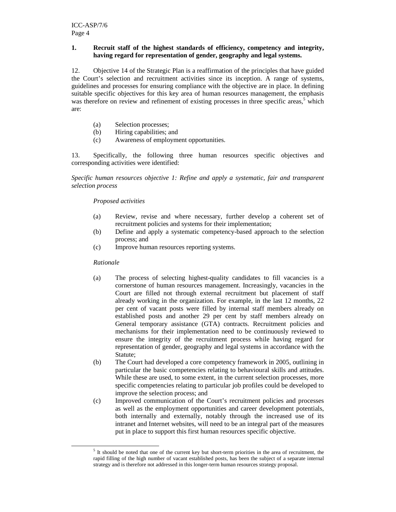# **1. Recruit staff of the highest standards of efficiency, competency and integrity, having regard for representation of gender, geography and legal systems.**

12. Objective 14 of the Strategic Plan is a reaffirmation of the principles that have guided the Court's selection and recruitment activities since its inception. A range of systems, guidelines and processes for ensuring compliance with the objective are in place. In defining suitable specific objectives for this key area of human resources management, the emphasis was therefore on review and refinement of existing processes in three specific areas,<sup>5</sup> which are:

- (a) Selection processes;
- (b) Hiring capabilities; and
- (c) Awareness of employment opportunities.

13. Specifically, the following three human resources specific objectives and corresponding activities were identified:

*Specific human resources objective 1: Refine and apply a systematic, fair and transparent selection process* 

# *Proposed activities*

- (a) Review, revise and where necessary, further develop a coherent set of recruitment policies and systems for their implementation;
- (b) Define and apply a systematic competency-based approach to the selection process; and
- (c) Improve human resources reporting systems.

# *Rationale*

-

- (a) The process of selecting highest-quality candidates to fill vacancies is a cornerstone of human resources management. Increasingly, vacancies in the Court are filled not through external recruitment but placement of staff already working in the organization. For example, in the last 12 months, 22 per cent of vacant posts were filled by internal staff members already on established posts and another 29 per cent by staff members already on General temporary assistance (GTA) contracts. Recruitment policies and mechanisms for their implementation need to be continuously reviewed to ensure the integrity of the recruitment process while having regard for representation of gender, geography and legal systems in accordance with the Statute;
- (b) The Court had developed a core competency framework in 2005, outlining in particular the basic competencies relating to behavioural skills and attitudes. While these are used, to some extent, in the current selection processes, more specific competencies relating to particular job profiles could be developed to improve the selection process; and
- (c) Improved communication of the Court's recruitment policies and processes as well as the employment opportunities and career development potentials, both internally and externally, notably through the increased use of its intranet and Internet websites, will need to be an integral part of the measures put in place to support this first human resources specific objective.

 $<sup>5</sup>$  It should be noted that one of the current key but short-term priorities in the area of recruitment, the</sup> rapid filling of the high number of vacant established posts, has been the subject of a separate internal strategy and is therefore not addressed in this longer-term human resources strategy proposal.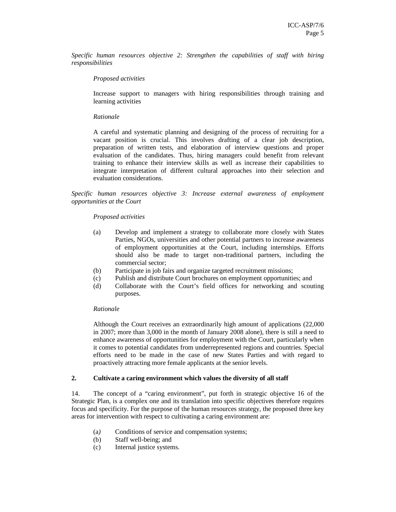*Specific human resources objective 2: Strengthen the capabilities of staff with hiring responsibilities* 

# *Proposed activities*

Increase support to managers with hiring responsibilities through training and learning activities

## *Rationale*

A careful and systematic planning and designing of the process of recruiting for a vacant position is crucial. This involves drafting of a clear job description, preparation of written tests, and elaboration of interview questions and proper evaluation of the candidates. Thus, hiring managers could benefit from relevant training to enhance their interview skills as well as increase their capabilities to integrate interpretation of different cultural approaches into their selection and evaluation considerations.

*Specific human resources objective 3: Increase external awareness of employment opportunities at the Court* 

# *Proposed activities*

- (a) Develop and implement a strategy to collaborate more closely with States Parties, NGOs, universities and other potential partners to increase awareness of employment opportunities at the Court, including internships. Efforts should also be made to target non-traditional partners, including the commercial sector;
- (b) Participate in job fairs and organize targeted recruitment missions;
- (c) Publish and distribute Court brochures on employment opportunities; and
- (d) Collaborate with the Court's field offices for networking and scouting purposes.

# *Rationale*

Although the Court receives an extraordinarily high amount of applications (22,000 in 2007; more than 3,000 in the month of January 2008 alone), there is still a need to enhance awareness of opportunities for employment with the Court, particularly when it comes to potential candidates from underrepresented regions and countries. Special efforts need to be made in the case of new States Parties and with regard to proactively attracting more female applicants at the senior levels.

# **2. Cultivate a caring environment which values the diversity of all staff**

14. The concept of a "caring environment", put forth in strategic objective 16 of the Strategic Plan, is a complex one and its translation into specific objectives therefore requires focus and specificity. For the purpose of the human resources strategy, the proposed three key areas for intervention with respect to cultivating a caring environment are:

- (a*)* Conditions of service and compensation systems;
- (b) Staff well-being; and
- (c) Internal justice systems.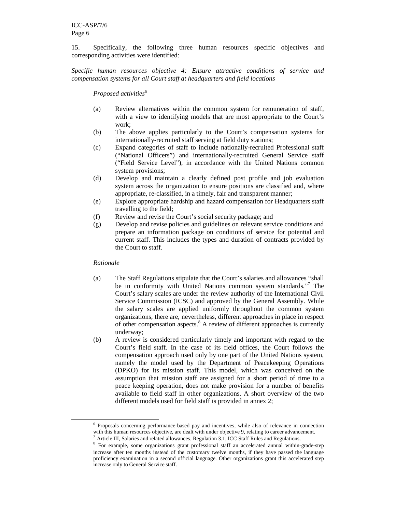15. Specifically, the following three human resources specific objectives and corresponding activities were identified:

*Specific human resources objective 4: Ensure attractive conditions of service and compensation systems for all Court staff at headquarters and field locations* 

#### *Proposed activities*<sup>6</sup>

- (a) Review alternatives within the common system for remuneration of staff, with a view to identifying models that are most appropriate to the Court's work;
- (b) The above applies particularly to the Court's compensation systems for internationally-recruited staff serving at field duty stations;
- (c) Expand categories of staff to include nationally-recruited Professional staff ("National Officers") and internationally-recruited General Service staff ("Field Service Level"), in accordance with the United Nations common system provisions;
- (d) Develop and maintain a clearly defined post profile and job evaluation system across the organization to ensure positions are classified and, where appropriate, re-classified, in a timely, fair and transparent manner;
- (e) Explore appropriate hardship and hazard compensation for Headquarters staff travelling to the field;
- (f) Review and revise the Court's social security package; and
- (g) Develop and revise policies and guidelines on relevant service conditions and prepare an information package on conditions of service for potential and current staff. This includes the types and duration of contracts provided by the Court to staff.

#### *Rationale*

-

- (a) The Staff Regulations stipulate that the Court's salaries and allowances "shall be in conformity with United Nations common system standards."<sup>7</sup> The Court's salary scales are under the review authority of the International Civil Service Commission (ICSC) and approved by the General Assembly. While the salary scales are applied uniformly throughout the common system organizations, there are, nevertheless, different approaches in place in respect of other compensation aspects.<sup>8</sup> A review of different approaches is currently underway;
- (b) A review is considered particularly timely and important with regard to the Court's field staff. In the case of its field offices, the Court follows the compensation approach used only by one part of the United Nations system, namely the model used by the Department of Peacekeeping Operations (DPKO) for its mission staff. This model, which was conceived on the assumption that mission staff are assigned for a short period of time to a peace keeping operation, does not make provision for a number of benefits available to field staff in other organizations. A short overview of the two different models used for field staff is provided in annex 2;

<sup>&</sup>lt;sup>6</sup> Proposals concerning performance-based pay and incentives, while also of relevance in connection with this human resources objective, are dealt with under objective 9, relating to career advancement.

 $\alpha$  Article III, Salaries and related allowances, Regulation 3.1, ICC Staff Rules and Regulations.

<sup>&</sup>lt;sup>8</sup> For example, some organizations grant professional staff an accelerated annual within-grade-step increase after ten months instead of the customary twelve months, if they have passed the language proficiency examination in a second official language. Other organizations grant this accelerated step increase only to General Service staff.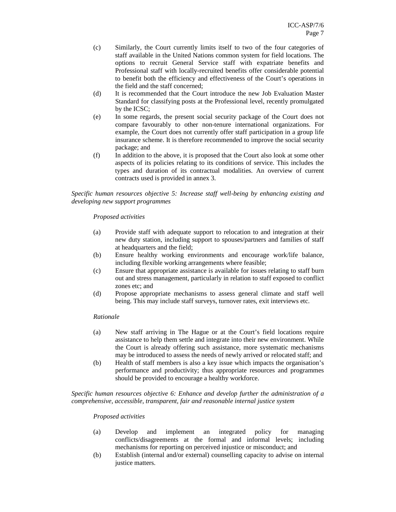- (c) Similarly, the Court currently limits itself to two of the four categories of staff available in the United Nations common system for field locations. The options to recruit General Service staff with expatriate benefits and Professional staff with locally-recruited benefits offer considerable potential to benefit both the efficiency and effectiveness of the Court's operations in the field and the staff concerned;
- (d) It is recommended that the Court introduce the new Job Evaluation Master Standard for classifying posts at the Professional level, recently promulgated by the ICSC;
- (e) In some regards, the present social security package of the Court does not compare favourably to other non-tenure international organizations. For example, the Court does not currently offer staff participation in a group life insurance scheme. It is therefore recommended to improve the social security package; and
- (f) In addition to the above, it is proposed that the Court also look at some other aspects of its policies relating to its conditions of service. This includes the types and duration of its contractual modalities. An overview of current contracts used is provided in annex 3.

*Specific human resources objective 5: Increase staff well-being by enhancing existing and developing new support programmes* 

#### *Proposed activities*

- (a) Provide staff with adequate support to relocation to and integration at their new duty station, including support to spouses/partners and families of staff at headquarters and the field;
- (b) Ensure healthy working environments and encourage work/life balance, including flexible working arrangements where feasible;
- (c) Ensure that appropriate assistance is available for issues relating to staff burn out and stress management, particularly in relation to staff exposed to conflict zones etc; and
- (d) Propose appropriate mechanisms to assess general climate and staff well being. This may include staff surveys, turnover rates, exit interviews etc.

#### *Rationale*

- (a) New staff arriving in The Hague or at the Court's field locations require assistance to help them settle and integrate into their new environment. While the Court is already offering such assistance, more systematic mechanisms may be introduced to assess the needs of newly arrived or relocated staff; and
- (b) Health of staff members is also a key issue which impacts the organisation's performance and productivity; thus appropriate resources and programmes should be provided to encourage a healthy workforce.

*Specific human resources objective 6: Enhance and develop further the administration of a comprehensive, accessible, transparent, fair and reasonable internal justice system* 

#### *Proposed activities*

- (a) Develop and implement an integrated policy for managing conflicts/disagreements at the formal and informal levels; including mechanisms for reporting on perceived injustice or misconduct; and
- (b) Establish (internal and/or external) counselling capacity to advise on internal justice matters.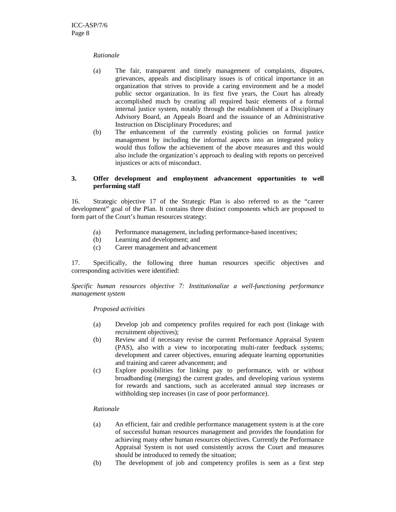#### *Rationale*

- (a) The fair, transparent and timely management of complaints, disputes, grievances, appeals and disciplinary issues is of critical importance in an organization that strives to provide a caring environment and be a model public sector organization. In its first five years, the Court has already accomplished much by creating all required basic elements of a formal internal justice system, notably through the establishment of a Disciplinary Advisory Board, an Appeals Board and the issuance of an Administrative Instruction on Disciplinary Procedures; and
- (b) The enhancement of the currently existing policies on formal justice management by including the informal aspects into an integrated policy would thus follow the achievement of the above measures and this would also include the organization's approach to dealing with reports on perceived injustices or acts of misconduct.

# **3. Offer development and employment advancement opportunities to well performing staff**

16. Strategic objective 17 of the Strategic Plan is also referred to as the "career development" goal of the Plan. It contains three distinct components which are proposed to form part of the Court's human resources strategy:

- *(*a) Performance management, including performance-based incentives;
- (b) Learning and development; and
- (c) Career management and advancement

17. Specifically, the following three human resources specific objectives and corresponding activities were identified:

*Specific human resources objective 7: Institutionalize a well-functioning performance management system* 

# *Proposed activities*

- (a) Develop job and competency profiles required for each post (linkage with recruitment objectives);
- (b) Review and if necessary revise the current Performance Appraisal System (PAS), also with a view to incorporating multi-rater feedback systems; development and career objectives, ensuring adequate learning opportunities and training and career advancement; and
- (c) Explore possibilities for linking pay to performance, with or without broadbanding (merging) the current grades, and developing various systems for rewards and sanctions, such as accelerated annual step increases or withholding step increases (in case of poor performance).

# *Rationale*

- (a) An efficient, fair and credible performance management system is at the core of successful human resources management and provides the foundation for achieving many other human resources objectives. Currently the Performance Appraisal System is not used consistently across the Court and measures should be introduced to remedy the situation;
- (b) The development of job and competency profiles is seen as a first step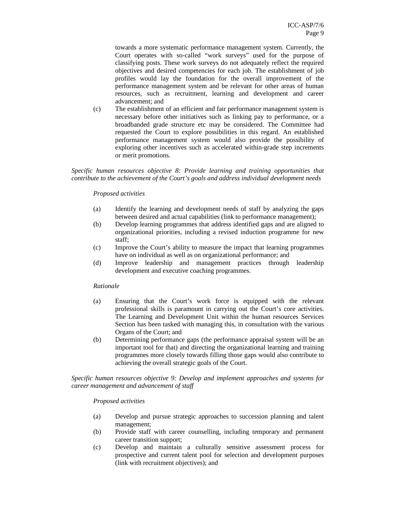towards a more systematic performance management system. Currently, the Court operates with so-called "work surveys" used for the purpose of classifying posts. These work surveys do not adequately reflect the required objectives and desired competencies for each job. The establishment of job profiles would lay the foundation for the overall improvement of the performance management system and be relevant for other areas of human resources, such as recruitment, learning and development and career advancement; and

(c) The establishment of an efficient and fair performance management system is necessary before other initiatives such as linking pay to performance, or a broadbanded grade structure etc may be considered. The Committee had requested the Court to explore possibilities in this regard. An established performance management system would also provide the possibility of exploring other incentives such as accelerated within-grade step increments or merit promotions.

*Specific human resources objective 8: Provide learning and training opportunities that contribute to the achievement of the Court's goals and address individual development needs* 

#### *Proposed activities*

- (a) Identify the learning and development needs of staff by analyzing the gaps between desired and actual capabilities (link to performance management);
- (b) Develop learning programmes that address identified gaps and are aligned to organizational priorities, including a revised induction programme for new staff;
- (c) Improve the Court's ability to measure the impact that learning programmes have on individual as well as on organizational performance; and
- (d) Improve leadership and management practices through leadership development and executive coaching programmes.

#### *Rationale*

- (a) Ensuring that the Court's work force is equipped with the relevant professional skills is paramount in carrying out the Court's core activities. The Learning and Development Unit within the human resources Services Section has been tasked with managing this, in consultation with the various Organs of the Court; and
- (b) Determining performance gaps (the performance appraisal system will be an important tool for that) and directing the organizational learning and training programmes more closely towards filling those gaps would also contribute to achieving the overall strategic goals of the Court.

*Specific human resources objective 9: Develop and implement approaches and systems for career management and advancement of staff* 

#### *Proposed activities*

- (a) Develop and pursue strategic approaches to succession planning and talent management;
- (b) Provide staff with career counselling, including temporary and permanent career transition support;
- (c) Develop and maintain a culturally sensitive assessment process for prospective and current talent pool for selection and development purposes (link with recruitment objectives); and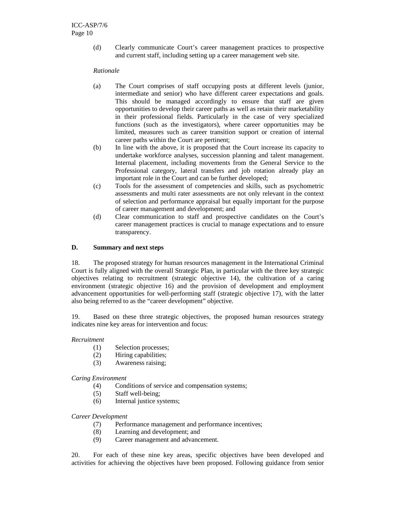(d) Clearly communicate Court's career management practices to prospective and current staff, including setting up a career management web site.

## *Rationale*

- (a) The Court comprises of staff occupying posts at different levels (junior, intermediate and senior) who have different career expectations and goals. This should be managed accordingly to ensure that staff are given opportunities to develop their career paths as well as retain their marketability in their professional fields. Particularly in the case of very specialized functions (such as the investigators), where career opportunities may be limited, measures such as career transition support or creation of internal career paths within the Court are pertinent;
- (b) In line with the above, it is proposed that the Court increase its capacity to undertake workforce analyses, succession planning and talent management. Internal placement, including movements from the General Service to the Professional category, lateral transfers and job rotation already play an important role in the Court and can be further developed;
- (c) Tools for the assessment of competencies and skills, such as psychometric assessments and multi rater assessments are not only relevant in the context of selection and performance appraisal but equally important for the purpose of career management and development; and
- (d) Clear communication to staff and prospective candidates on the Court's career management practices is crucial to manage expectations and to ensure transparency.

# **D. Summary and next steps**

18. The proposed strategy for human resources management in the International Criminal Court is fully aligned with the overall Strategic Plan, in particular with the three key strategic objectives relating to recruitment (strategic objective 14), the cultivation of a caring environment (strategic objective 16) and the provision of development and employment advancement opportunities for well-performing staff (strategic objective 17), with the latter also being referred to as the "career development" objective.

19. Based on these three strategic objectives, the proposed human resources strategy indicates nine key areas for intervention and focus:

# *Recruitment*

- (1) Selection processes;
- (2) Hiring capabilities;
- (3) Awareness raising;

*Caring Environment* 

- (4) Conditions of service and compensation systems;
- (5) Staff well-being;
- (6) Internal justice systems;

*Career Development*

- (7) Performance management and performance incentives;
- (8) Learning and development; and
- (9) Career management and advancement.

20. For each of these nine key areas, specific objectives have been developed and activities for achieving the objectives have been proposed. Following guidance from senior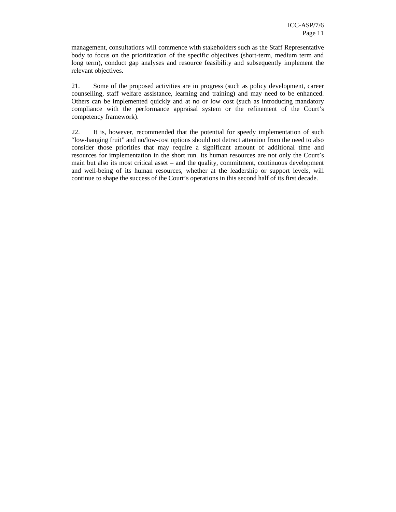management, consultations will commence with stakeholders such as the Staff Representative body to focus on the prioritization of the specific objectives (short-term, medium term and long term), conduct gap analyses and resource feasibility and subsequently implement the relevant objectives.

21. Some of the proposed activities are in progress (such as policy development, career counselling, staff welfare assistance, learning and training) and may need to be enhanced. Others can be implemented quickly and at no or low cost (such as introducing mandatory compliance with the performance appraisal system or the refinement of the Court's competency framework).

22. It is, however, recommended that the potential for speedy implementation of such "low-hanging fruit" and no/low-cost options should not detract attention from the need to also consider those priorities that may require a significant amount of additional time and resources for implementation in the short run. Its human resources are not only the Court's main but also its most critical asset – and the quality, commitment, continuous development and well-being of its human resources, whether at the leadership or support levels, will continue to shape the success of the Court's operations in this second half of its first decade.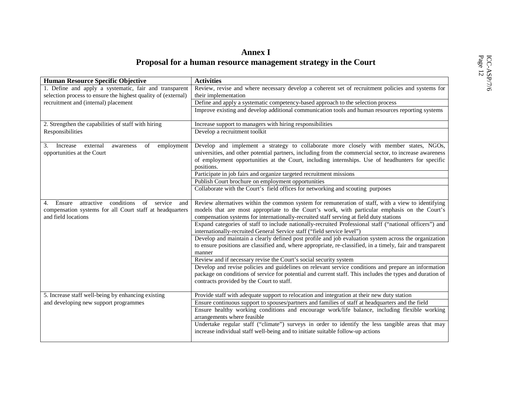# **Annex I**

| Proposal for a human resource management strategy in the Court                                                                                      |                                                                                                                                                                                                                                                                                                                     |  |  |
|-----------------------------------------------------------------------------------------------------------------------------------------------------|---------------------------------------------------------------------------------------------------------------------------------------------------------------------------------------------------------------------------------------------------------------------------------------------------------------------|--|--|
| Human Resource Specific Objective                                                                                                                   | <b>Activities</b>                                                                                                                                                                                                                                                                                                   |  |  |
| 1. Define and apply a systematic, fair and transparent<br>selection process to ensure the highest quality of (external)                             | Review, revise and where necessary develop a coherent set of recruitment policies and systems for<br>their implementation                                                                                                                                                                                           |  |  |
| recruitment and (internal) placement                                                                                                                | Define and apply a systematic competency-based approach to the selection process                                                                                                                                                                                                                                    |  |  |
|                                                                                                                                                     | Improve existing and develop additional communication tools and human resources reporting systems                                                                                                                                                                                                                   |  |  |
| 2. Strengthen the capabilities of staff with hiring                                                                                                 | Increase support to managers with hiring responsibilities                                                                                                                                                                                                                                                           |  |  |
| Responsibilities                                                                                                                                    | Develop a recruitment toolkit                                                                                                                                                                                                                                                                                       |  |  |
| external<br>employment<br>3.<br>Increase<br>of<br>awareness<br>opportunities at the Court                                                           | Develop and implement a strategy to collaborate more closely with member states, NGOs,<br>universities, and other potential partners, including from the commercial sector, to increase awareness<br>of employment opportunities at the Court, including internships. Use of headhunters for specific<br>positions. |  |  |
|                                                                                                                                                     | Participate in job fairs and organize targeted recruitment missions                                                                                                                                                                                                                                                 |  |  |
|                                                                                                                                                     | Publish Court brochure on employment opportunities                                                                                                                                                                                                                                                                  |  |  |
|                                                                                                                                                     | Collaborate with the Court's field offices for networking and scouting purposes                                                                                                                                                                                                                                     |  |  |
| conditions<br>Ensure<br>attractive<br>of<br>service<br>4.<br>and<br>compensation systems for all Court staff at headquarters<br>and field locations | Review alternatives within the common system for remuneration of staff, with a view to identifying<br>models that are most appropriate to the Court's work, with particular emphasis on the Court's<br>compensation systems for internationally-recruited staff serving at field duty stations                      |  |  |
|                                                                                                                                                     | Expand categories of staff to include nationally-recruited Professional staff ("national officers") and<br>internationally-recruited General Service staff ("field service level")                                                                                                                                  |  |  |
|                                                                                                                                                     | Develop and maintain a clearly defined post profile and job evaluation system across the organization<br>to ensure positions are classified and, where appropriate, re-classified, in a timely, fair and transparent<br>manner                                                                                      |  |  |
|                                                                                                                                                     | Review and if necessary revise the Court's social security system                                                                                                                                                                                                                                                   |  |  |
|                                                                                                                                                     | Develop and revise policies and guidelines on relevant service conditions and prepare an information<br>package on conditions of service for potential and current staff. This includes the types and duration of<br>contracts provided by the Court to staff.                                                      |  |  |
| 5. Increase staff well-being by enhancing existing                                                                                                  | Provide staff with adequate support to relocation and integration at their new duty station                                                                                                                                                                                                                         |  |  |
| and developing new support programmes                                                                                                               | Ensure continuous support to spouses/partners and families of staff at headquarters and the field                                                                                                                                                                                                                   |  |  |
|                                                                                                                                                     | Ensure healthy working conditions and encourage work/life balance, including flexible working<br>arrangements where feasible                                                                                                                                                                                        |  |  |
|                                                                                                                                                     | Undertake regular staff ("climate") surveys in order to identify the less tangible areas that may<br>increase individual staff well-being and to initiate suitable follow-up actions                                                                                                                                |  |  |
|                                                                                                                                                     |                                                                                                                                                                                                                                                                                                                     |  |  |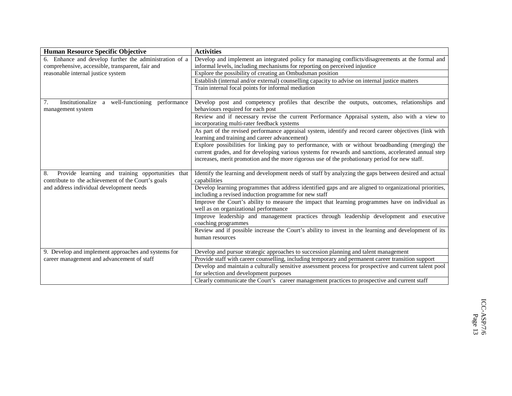| <b>Human Resource Specific Objective</b>                                                                     | <b>Activities</b>                                                                                                                                               |
|--------------------------------------------------------------------------------------------------------------|-----------------------------------------------------------------------------------------------------------------------------------------------------------------|
| 6. Enhance and develop further the administration of a                                                       | Develop and implement an integrated policy for managing conflicts/disagreements at the formal and                                                               |
| comprehensive, accessible, transparent, fair and                                                             | informal levels, including mechanisms for reporting on perceived injustice                                                                                      |
| reasonable internal justice system                                                                           | Explore the possibility of creating an Ombudsman position                                                                                                       |
|                                                                                                              | Establish (internal and/or external) counselling capacity to advise on internal justice matters                                                                 |
|                                                                                                              | Train internal focal points for informal mediation                                                                                                              |
| Institutionalize a well-functioning performance<br>7.<br>management system                                   | Develop post and competency profiles that describe the outputs, outcomes, relationships and<br>behaviours required for each post                                |
|                                                                                                              | Review and if necessary revise the current Performance Appraisal system, also with a view to<br>incorporating multi-rater feedback systems                      |
|                                                                                                              | As part of the revised performance appraisal system, identify and record career objectives (link with<br>learning and training and career advancement)          |
|                                                                                                              | Explore possibilities for linking pay to performance, with or without broadbanding (merging) the                                                                |
|                                                                                                              | current grades, and for developing various systems for rewards and sanctions, accelerated annual step                                                           |
|                                                                                                              | increases, merit promotion and the more rigorous use of the probationary period for new staff.                                                                  |
| Provide learning and training opportunities that<br>8.<br>contribute to the achievement of the Court's goals | Identify the learning and development needs of staff by analyzing the gaps between desired and actual<br>capabilities                                           |
| and address individual development needs                                                                     | Develop learning programmes that address identified gaps and are aligned to organizational priorities,<br>including a revised induction programme for new staff |
|                                                                                                              | Improve the Court's ability to measure the impact that learning programmes have on individual as<br>well as on organizational performance                       |
|                                                                                                              | Improve leadership and management practices through leadership development and executive<br>coaching programmes                                                 |
|                                                                                                              | Review and if possible increase the Court's ability to invest in the learning and development of its<br>human resources                                         |
| 9. Develop and implement approaches and systems for                                                          | Develop and pursue strategic approaches to succession planning and talent management                                                                            |
| career management and advancement of staff                                                                   | Provide staff with career counselling, including temporary and permanent career transition support                                                              |
|                                                                                                              | Develop and maintain a culturally sensitive assessment process for prospective and current talent pool<br>for selection and development purposes                |
|                                                                                                              | Clearly communicate the Court's career management practices to prospective and current staff                                                                    |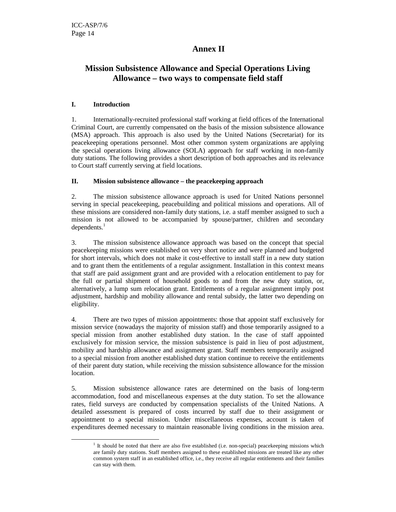# **Annex II**

# **Mission Subsistence Allowance and Special Operations Living Allowance – two ways to compensate field staff**

# **I. Introduction**

-

1. Internationally-recruited professional staff working at field offices of the International Criminal Court, are currently compensated on the basis of the mission subsistence allowance (MSA) approach. This approach is also used by the United Nations (Secretariat) for its peacekeeping operations personnel. Most other common system organizations are applying the special operations living allowance (SOLA) approach for staff working in non-family duty stations. The following provides a short description of both approaches and its relevance to Court staff currently serving at field locations.

# **II. Mission subsistence allowance – the peacekeeping approach**

2. The mission subsistence allowance approach is used for United Nations personnel serving in special peacekeeping, peacebuilding and political missions and operations. All of these missions are considered non-family duty stations, i.e. a staff member assigned to such a mission is not allowed to be accompanied by spouse/partner, children and secondary  $dependent<sup>1</sup>$ 

3. The mission subsistence allowance approach was based on the concept that special peacekeeping missions were established on very short notice and were planned and budgeted for short intervals, which does not make it cost-effective to install staff in a new duty station and to grant them the entitlements of a regular assignment. Installation in this context means that staff are paid assignment grant and are provided with a relocation entitlement to pay for the full or partial shipment of household goods to and from the new duty station, or, alternatively, a lump sum relocation grant. Entitlements of a regular assignment imply post adjustment, hardship and mobility allowance and rental subsidy, the latter two depending on eligibility.

4. There are two types of mission appointments: those that appoint staff exclusively for mission service (nowadays the majority of mission staff) and those temporarily assigned to a special mission from another established duty station. In the case of staff appointed exclusively for mission service, the mission subsistence is paid in lieu of post adjustment, mobility and hardship allowance and assignment grant. Staff members temporarily assigned to a special mission from another established duty station continue to receive the entitlements of their parent duty station, while receiving the mission subsistence allowance for the mission location.

5. Mission subsistence allowance rates are determined on the basis of long-term accommodation, food and miscellaneous expenses at the duty station. To set the allowance rates, field surveys are conducted by compensation specialists of the United Nations. A detailed assessment is prepared of costs incurred by staff due to their assignment or appointment to a special mission. Under miscellaneous expenses, account is taken of expenditures deemed necessary to maintain reasonable living conditions in the mission area.

<sup>&</sup>lt;sup>1</sup> It should be noted that there are also five established (i.e. non-special) peacekeeping missions which are family duty stations. Staff members assigned to these established missions are treated like any other common system staff in an established office, i.e., they receive all regular entitlements and their families can stay with them.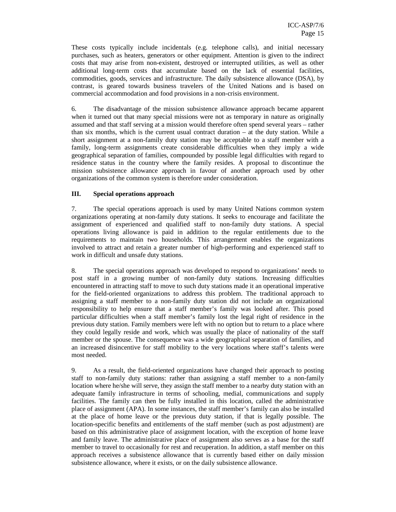These costs typically include incidentals (e.g. telephone calls), and initial necessary purchases, such as heaters, generators or other equipment. Attention is given to the indirect costs that may arise from non-existent, destroyed or interrupted utilities, as well as other additional long-term costs that accumulate based on the lack of essential facilities, commodities, goods, services and infrastructure. The daily subsistence allowance (DSA), by contrast, is geared towards business travelers of the United Nations and is based on commercial accommodation and food provisions in a non-crisis environment.

6. The disadvantage of the mission subsistence allowance approach became apparent when it turned out that many special missions were not as temporary in nature as originally assumed and that staff serving at a mission would therefore often spend several years – rather than six months, which is the current usual contract duration  $-$  at the duty station. While a short assignment at a non-family duty station may be acceptable to a staff member with a family, long-term assignments create considerable difficulties when they imply a wide geographical separation of families, compounded by possible legal difficulties with regard to residence status in the country where the family resides. A proposal to discontinue the mission subsistence allowance approach in favour of another approach used by other organizations of the common system is therefore under consideration.

# **III. Special operations approach**

7. The special operations approach is used by many United Nations common system organizations operating at non-family duty stations. It seeks to encourage and facilitate the assignment of experienced and qualified staff to non-family duty stations. A special operations living allowance is paid in addition to the regular entitlements due to the requirements to maintain two households. This arrangement enables the organizations involved to attract and retain a greater number of high-performing and experienced staff to work in difficult and unsafe duty stations.

8. The special operations approach was developed to respond to organizations' needs to post staff in a growing number of non-family duty stations. Increasing difficulties encountered in attracting staff to move to such duty stations made it an operational imperative for the field-oriented organizations to address this problem. The traditional approach to assigning a staff member to a non-family duty station did not include an organizational responsibility to help ensure that a staff member's family was looked after. This posed particular difficulties when a staff member's family lost the legal right of residence in the previous duty station. Family members were left with no option but to return to a place where they could legally reside and work, which was usually the place of nationality of the staff member or the spouse. The consequence was a wide geographical separation of families, and an increased disincentive for staff mobility to the very locations where staff's talents were most needed.

9. As a result, the field-oriented organizations have changed their approach to posting staff to non-family duty stations: rather than assigning a staff member to a non-family location where he/she will serve, they assign the staff member to a nearby duty station with an adequate family infrastructure in terms of schooling, medial, communications and supply facilities. The family can then be fully installed in this location, called the administrative place of assignment (APA). In some instances, the staff member's family can also be installed at the place of home leave or the previous duty station, if that is legally possible. The location-specific benefits and entitlements of the staff member (such as post adjustment) are based on this administrative place of assignment location, with the exception of home leave and family leave. The administrative place of assignment also serves as a base for the staff member to travel to occasionally for rest and recuperation. In addition, a staff member on this approach receives a subsistence allowance that is currently based either on daily mission subsistence allowance, where it exists, or on the daily subsistence allowance.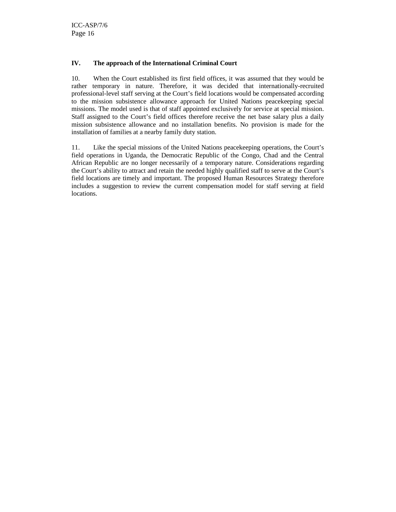# **IV. The approach of the International Criminal Court**

10. When the Court established its first field offices, it was assumed that they would be rather temporary in nature. Therefore, it was decided that internationally-recruited professional-level staff serving at the Court's field locations would be compensated according to the mission subsistence allowance approach for United Nations peacekeeping special missions. The model used is that of staff appointed exclusively for service at special mission. Staff assigned to the Court's field offices therefore receive the net base salary plus a daily mission subsistence allowance and no installation benefits. No provision is made for the installation of families at a nearby family duty station.

11. Like the special missions of the United Nations peacekeeping operations, the Court's field operations in Uganda, the Democratic Republic of the Congo, Chad and the Central African Republic are no longer necessarily of a temporary nature. Considerations regarding the Court's ability to attract and retain the needed highly qualified staff to serve at the Court's field locations are timely and important. The proposed Human Resources Strategy therefore includes a suggestion to review the current compensation model for staff serving at field locations.